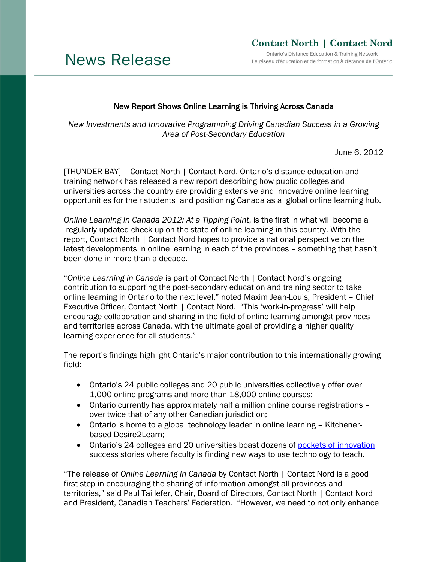# **News Release**

## **Contact North | Contact Nord**

Ontario's Distance Education & Training Network Le réseau d'éducation et de formation à distance de l'Ontario

### New Report Shows Online Learning is Thriving Across Canada

*New Investments and Innovative Programming Driving Canadian Success in a Growing Area of Post-Secondary Education*

June 6, 2012

[THUNDER BAY] – Contact North | Contact Nord, Ontario's distance education and training network has released a new report describing how public colleges and universities across the country are providing extensive and innovative online learning opportunities for their students and positioning Canada as a global online learning hub.

*Online Learning in Canada 2012: At a Tipping Point*, is the first in what will become a regularly updated check-up on the state of online learning in this country. With the report, Contact North | Contact Nord hopes to provide a national perspective on the latest developments in online learning in each of the provinces – something that hasn't been done in more than a decade.

"*Online Learning in Canada* is part of Contact North | Contact Nord's ongoing contribution to supporting the post-secondary education and training sector to take online learning in Ontario to the next level," noted Maxim Jean-Louis, President – Chief Executive Officer, Contact North | Contact Nord. "This 'work-in-progress' will help encourage collaboration and sharing in the field of online learning amongst provinces and territories across Canada, with the ultimate goal of providing a higher quality learning experience for all students."

The report's findings highlight Ontario's major contribution to this internationally growing field:

- Ontario's 24 public colleges and 20 public universities collectively offer over 1,000 online programs and more than 18,000 online courses;
- Ontario currently has approximately half a million online course registrations over twice that of any other Canadian jurisdiction;
- Ontario is home to a global technology leader in online learning Kitchenerbased Desire2Learn;
- Ontario's 24 colleges and 20 universities boast dozens of [pockets of innovation](http://www.contactnorth.ca/innovation/pockets-innovation) success stories where faculty is finding new ways to use technology to teach.

"The release of *Online Learning in Canada* by Contact North | Contact Nord is a good first step in encouraging the sharing of information amongst all provinces and territories," said Paul Taillefer, Chair, Board of Directors, Contact North | Contact Nord and President, Canadian Teachers' Federation. "However, we need to not only enhance